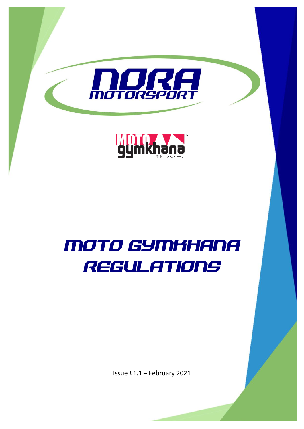

# MOTO GYMKHANA REGULATIONS

Issue #1.1 – February 2021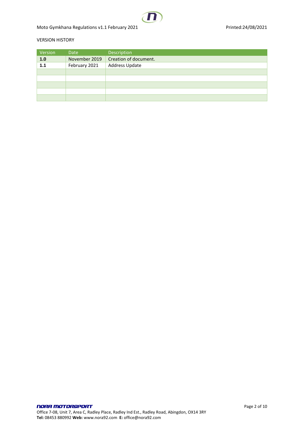#### VERSION HISTORY

| Version | <b>Date</b>   | Description           |
|---------|---------------|-----------------------|
| 1.0     | November 2019 | Creation of document. |
| 1.1     | February 2021 | Address Update        |
|         |               |                       |
|         |               |                       |
|         |               |                       |
|         |               |                       |
|         |               |                       |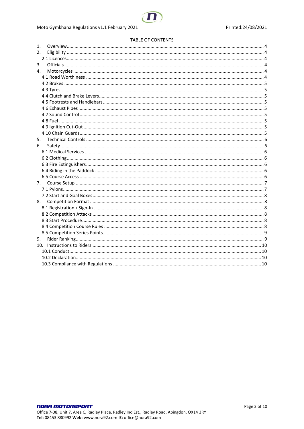

# Moto Gymkhana Regulations v1.1 February 2021

#### **TABLE OF CONTENTS**

| 1. |  |
|----|--|
| 2. |  |
|    |  |
| 3. |  |
| 4. |  |
|    |  |
|    |  |
|    |  |
|    |  |
|    |  |
|    |  |
|    |  |
|    |  |
|    |  |
|    |  |
| 5. |  |
| 6. |  |
|    |  |
|    |  |
|    |  |
|    |  |
|    |  |
| 7. |  |
|    |  |
|    |  |
| 8. |  |
|    |  |
|    |  |
|    |  |
|    |  |
|    |  |
| 9. |  |
|    |  |
|    |  |
|    |  |
|    |  |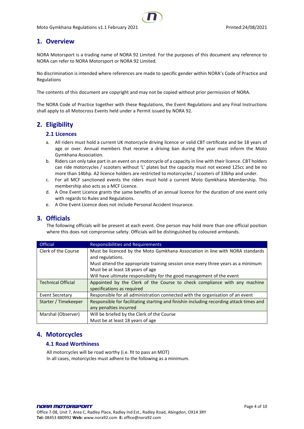# <span id="page-3-0"></span>**1. Overview**

NORA Motorsport is a trading name of NORA 92 Limited. For the purposes of this document any reference to NORA can refer to NORA Motorsport or NORA 92 Limited.

No discrimination is intended where references are made to specific gender within NORA's Code of Practice and Regulations

The contents of this document are copyright and may not be copied without prior permission of NORA.

The NORA Code of Practice together with these Regulations, the Event Regulations and any Final Instructions shall apply to all Motocross Events held under a Permit issued by NORA 92.

# <span id="page-3-2"></span><span id="page-3-1"></span>**2. Eligibility**

#### **2.1 Licences**

- a. All riders must hold a current UK motorcycle driving licence or valid CBT certificate and be 18 years of age or over. Annual members that receive a driving ban during the year must inform the Moto Gymkhana Association.
- b. Riders can only take part in an event on a motorcycle of a capacity in line with their licence. CBT holders can ride motorcycles / scooters without 'L' plates but the capacity must not exceed 125cc and be no more than 14bhp. A2 licence holders are restricted to motorcycles / scooters of 33bhp and under.
- c. For all MCF sanctioned events the riders must hold a current Moto Gymkhana Membership. This membership also acts as a MCF Licence.
- d. A One Event Licence grants the same benefits of an annual licence for the duration of one event only with regards to Rules and Regulations.
- e. A One Event Licence does not include Personal Accident Insurance.

# <span id="page-3-3"></span>**3. Officials**

The following officials will be present at each event. One person may hold more than one official position where this does not compromise safety. Officials will be distinguished by coloured armbands.

| <b>Official</b>                                                                                        | Responsibilities and Requirements                                                       |  |  |  |
|--------------------------------------------------------------------------------------------------------|-----------------------------------------------------------------------------------------|--|--|--|
| Clerk of the Course                                                                                    | Must be licenced by the Moto Gymkhana Association in line with NORA standards           |  |  |  |
|                                                                                                        | and regulations.                                                                        |  |  |  |
|                                                                                                        | Must attend the appropriate training session once every three years as a minimum        |  |  |  |
|                                                                                                        | Must be at least 18 years of age                                                        |  |  |  |
|                                                                                                        | Will have ultimate responsibility for the good management of the event                  |  |  |  |
| <b>Technical Official</b><br>Appointed by the Clerk of the Course to check compliance with any machine |                                                                                         |  |  |  |
|                                                                                                        | specifications as required                                                              |  |  |  |
| <b>Event Secretary</b>                                                                                 | Responsible for all administration connected with the organisation of an event          |  |  |  |
| Starter / Timekeeper                                                                                   | Responsible for facilitating starting and finishin including recording attack times and |  |  |  |
|                                                                                                        | any penalties incurred                                                                  |  |  |  |
| Marshal (Observer)                                                                                     | Will be briefed by the Clerk of the Course                                              |  |  |  |
|                                                                                                        | Must be at least 18 years of age                                                        |  |  |  |

# <span id="page-3-5"></span><span id="page-3-4"></span>**4. Motorcycles**

# **4.1 Road Worthiness**

All motorcycles will be road worthy (i.e. fit to pass an MOT) In all cases, motorcycles must adhere to the following as a minimum.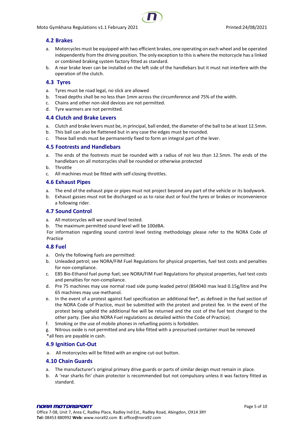

# <span id="page-4-0"></span>**4.2 Brakes**

- a. Motorcycles must be equipped with two efficient brakes, one operating on each wheel and be operated independently from the driving position. The only exception to this is where the motorcycle has a linked or combined braking system factory fitted as standard.
- b. A rear brake lever can be installed on the left side of the handlebars but it must not interfere with the operation of the clutch.

# <span id="page-4-1"></span>**4.3 Tyres**

- a. Tyres must be road legal, no slick are allowed
- b. Tread depths shall be no less than 1mm across the circumference and 75% of the width.
- c. Chains and other non-skid devices are not permitted.
- d. Tyre warmers are not permitted.

#### <span id="page-4-2"></span>**4.4 Clutch and Brake Levers**

- a. Clutch and brake levers must be, in principal, ball ended, the diameter of the ball to be at least 12.5mm.
- b. This ball can also be flattened but in any case the edges must be rounded.
- c. These ball ends must be permanently fixed to form an integral part of the lever.

#### <span id="page-4-3"></span>**4.5 Footrests and Handlebars**

- a. The ends of the footrests must be rounded with a radius of not less than 12.5mm. The ends of the handlebars on all motorcycles shall be rounded or otherwise protected
- b. Throttle
- c. All machines must be fitted with self-closing throttles.

#### <span id="page-4-4"></span>**4.6 Exhaust Pipes**

- a. The end of the exhaust pipe or pipes must not project beyond any part of the vehicle or its bodywork.
- b. Exhaust gasses must not be discharged so as to raise dust or foul the tyres or brakes or inconvenience a following rider.

# <span id="page-4-5"></span>**4.7 Sound Control**

- a. All motorcycles will we sound level tested.
- b. The maximum permitted sound level will be 100dBA.

For information regarding sound control level testing methodology please refer to the NORA Code of Practice

# <span id="page-4-6"></span>**4.8 Fuel**

- a. Only the following fuels are permitted:
- b. Unleaded petrol; see NORA/FIM Fuel Regulations for physical properties, fuel test costs and penalties for non-compliance.
- c. E85 Bio-Ethanol fuel pump fuel; see NORA/FIM Fuel Regulations for physical properties, fuel test costs and penalties for non-compliance.
- d. Pre 75 machines may use normal road side pump leaded petrol (BS4040 max lead 0.15g/litre and Pre 65 machines may use methanol.
- e. In the event of a protest against fuel specification an additional fee\*, as defined in the fuel section of the NORA Code of Practice, must be submitted with the protest and protest fee. In the event of the protest being upheld the additional fee will be returned and the cost of the fuel test charged to the other party. (See also NORA Fuel regulations as detailed within the Code of Practice).
- f. Smoking or the use of mobile phones in refuelling points is forbidden.

g. Nitrous oxide is not permitted and any bike fitted with a pressurised container must be removed \*all fees are payable in cash.

# <span id="page-4-7"></span>**4.9 Ignition Cut-Out**

a. All motorcycles will be fitted with an engine cut-out button.

# <span id="page-4-8"></span>**4.10 Chain Guards**

- a. The manufacturer's original primary drive guards or parts of similar design must remain in place.
- b. A 'rear sharks fin' chain protector is recommended but not compulsory unless it was factory fitted as standard.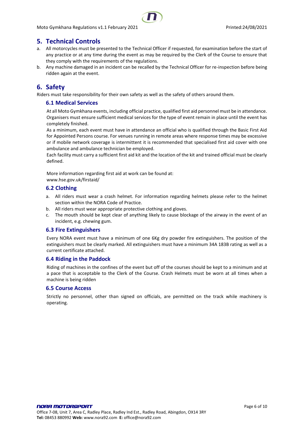

# <span id="page-5-0"></span>**5. Technical Controls**

- a. All motorcycles must be presented to the Technical Officer if requested, for examination before the start of any practice or at any time during the event as may be required by the Clerk of the Course to ensure that they comply with the requirements of the regulations.
- b. Any machine damaged in an incident can be recalled by the Technical Officer for re-inspection before being ridden again at the event.

# <span id="page-5-1"></span>**6. Safety**

<span id="page-5-2"></span>Riders must take responsibility for their own safety as well as the safety of others around them.

# **6.1 Medical Services**

At all Moto Gymkhana events, including official practice, qualified first aid personnel must be in attendance. Organisers must ensure sufficient medical services for the type of event remain in place until the event has completely finished.

As a minimum, each event must have in attendance an official who is qualified through the Basic First Aid for Appointed Persons course. For venues running in remote areas where response times may be excessive or if mobile network coverage is intermittent it is recommended that specialised first aid cover with one ambulance and ambulance technician be employed.

Each facility must carry a sufficient first aid kit and the location of the kit and trained official must be clearly defined.

More information regarding first aid at work can be found at:

www.hse.gov.uk/firstaid/

#### <span id="page-5-3"></span>**6.2 Clothing**

- a. All riders must wear a crash helmet. For information regarding helmets please refer to the helmet section within the NORA Code of Practice.
- b. All riders must wear appropriate protective clothing and gloves.
- c. The mouth should be kept clear of anything likely to cause blockage of the airway in the event of an incident, e.g. chewing gum.

#### <span id="page-5-4"></span>**6.3 Fire Extinguishers**

Every NORA event must have a minimum of one 6Kg dry powder fire extinguishers. The position of the extinguishers must be clearly marked. All extinguishers must have a minimum 34A 183B rating as well as a current certificate attached.

#### <span id="page-5-5"></span>**6.4 Riding in the Paddock**

Riding of machines in the confines of the event but off of the courses should be kept to a minimum and at a pace that is acceptable to the Clerk of the Course. Crash Helmets must be worn at all times when a machine is being ridden

#### <span id="page-5-6"></span>**6.5 Course Access**

Strictly no personnel, other than signed on officials, are permitted on the track while machinery is operating.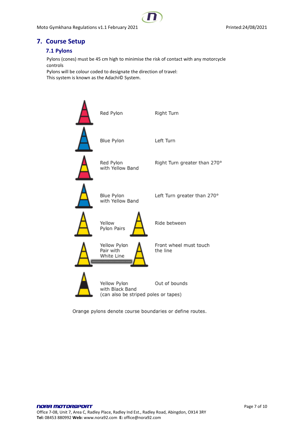Moto Gymkhana Regulations v1.1 February 2021 **Printed:24/08/2021** Printed:24/08/2021



# <span id="page-6-1"></span><span id="page-6-0"></span>**7. Course Setup**

# **7.1 Pylons**

Pylons (cones) must be 45 cm high to minimise the risk of contact with any motorcycle controls

Pylons will be colour coded to designate the direction of travel: This system is known as the Adachi© System.



Orange pylons denote course boundaries or define routes.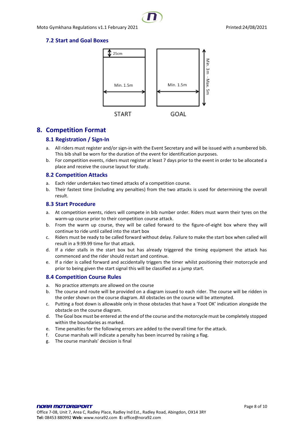# <span id="page-7-0"></span>**7.2 Start and Goal Boxes**



# <span id="page-7-2"></span><span id="page-7-1"></span>**8. Competition Format**

# **8.1 Registration / Sign-In**

- a. All riders must register and/or sign-in with the Event Secretary and will be issued with a numbered bib. This bib shall be worn for the duration of the event for identification purposes.
- b. For competition events, riders must register at least 7 days prior to the event in order to be allocated a place and receive the course layout for study.

# <span id="page-7-3"></span>**8.2 Competition Attacks**

- a. Each rider undertakes two timed attacks of a competition course.
- b. Their fastest time (including any penalties) from the two attacks is used for determining the overall result.

#### <span id="page-7-4"></span>**8.3 Start Procedure**

- a. At competition events, riders will compete in bib number order. Riders must warm their tyres on the warm-up course prior to their competition course attack.
- b. From the warm up course, they will be called forward to the figure-of-eight box where they will continue to ride until called into the start box
- c. Riders must be ready to be called forward without delay. Failure to make the start box when called will result in a 9:99.99 time for that attack.
- d. If a rider stalls in the start box but has already triggered the timing equipment the attack has commenced and the rider should restart and continue.
- e. If a rider is called forward and accidentally triggers the timer whilst positioning their motorcycle and prior to being given the start signal this will be classified as a jump start.

# <span id="page-7-5"></span>**8.4 Competition Course Rules**

- a. No practice attempts are allowed on the course
- b. The course and route will be provided on a diagram issued to each rider. The course will be ridden in the order shown on the course diagram. All obstacles on the course will be attempted.
- c. Putting a foot down is allowable only in those obstacles that have a 'Foot OK' indication alongside the obstacle on the course diagram.
- d. The Goal box must be entered at the end of the course and the motorcycle must be completely stopped within the boundaries as marked.
- e. Time penalties for the following errors are added to the overall time for the attack.
- f. Course marshals will indicate a penalty has been incurred by raising a flag.
- g. The course marshals' decision is final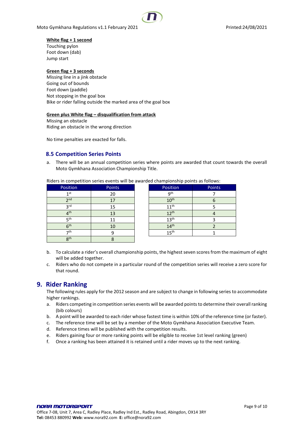Moto Gymkhana Regulations v1.1 February 2021 **Printed:24/08/2021** Printed:24/08/2021

#### **White flag + 1 second**

Touching pylon Foot down (dab) Jump start

#### **Green flag + 3 seconds**

Missing line in a jink obstacle Going out of bounds Foot down (paddle) Not stopping in the goal box Bike or rider falling outside the marked area of the goal box

#### **Green plus White flag – disqualification from attack**

Missing an obstacle Riding an obstacle in the wrong direction

No time penalties are exacted for falls.

# <span id="page-8-0"></span>**8.5 Competition Series Points**

a. There will be an annual competition series where points are awarded that count towards the overall Moto Gymkhana Association Championship Title.

Riders in competition series events will be awarded championship points as follows:

| Position        | Points | Position         | Points |
|-----------------|--------|------------------|--------|
| 1 <sub>st</sub> | 20     | 9 <sup>th</sup>  |        |
| 2 <sub>nd</sub> | 17     | 10 <sup>th</sup> |        |
| <b>3rd</b>      | 15     | 11 <sup>th</sup> |        |
| 4 <sup>th</sup> | 13     | 12 <sup>th</sup> |        |
| <b>π</b> th     |        | 13 <sup>th</sup> |        |
| 6 <sup>th</sup> | 10     | $14^{\text{th}}$ |        |
| 7th             |        | 15 <sup>th</sup> |        |
| 8 <sup>th</sup> |        |                  |        |

- b. To calculate a rider's overall championship points, the highest seven scores from the maximum of eight will be added together.
- c. Riders who do not compete in a particular round of the competition series will receive a zero score for that round.

# <span id="page-8-1"></span>**9. Rider Ranking**

The following rules apply for the 2012 season and are subject to change in following series to accommodate higher rankings.

- a. Riders competing in competition series events will be awarded points to determine their overall ranking (bib colours)
- b. A point will be awarded to each rider whose fastest time is within 10% of the reference time (or faster).
- c. The reference time will be set by a member of the Moto Gymkhana Association Executive Team.
- d. Reference times will be published with the competition results.
- e. Riders gaining four or more ranking points will be eligible to receive 1st level ranking (green)
- f. Once a ranking has been attained it is retained until a rider moves up to the next ranking.